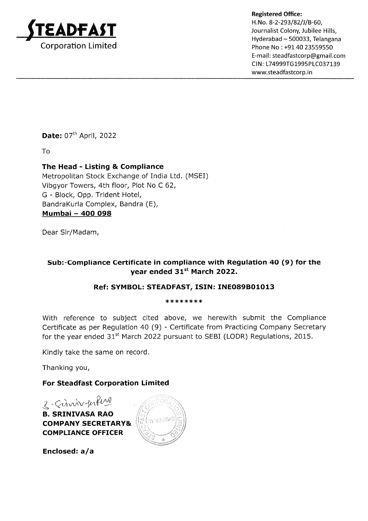

Hyderabad - 500033, Telangana Phone No : +91 40 23559550 E-ma <sup>i</sup>I : steadfastcorp@gmail.com CIN: L74999TG1995PLC037139 www.steadfastcorp.in

Date: 07<sup>th</sup> April, 2022

To

# The Head - Listing & Compliance

Metropolitan Stock Exchange of India Ltd. (MSEI) Vibgyor Towers, 4th floor, Plot No C 62, G - Block, Opp. Trident Hotel, BandraKurla Complex, Bandra (E), Mumbai - 400 098

Dear Sir/Madam,

# Sub:-Compliance Certificate in compliance with Regulation 4O (9) for the year ended 31st March 2022.

## Ref: SYMBOL: STEADFAST, ISIN: INEO89BO1O13

\*\*\*\*\*\*\*\*\*\*\*\*

With reference to subject cited above, we herewith submit the Compliance Certificate as per Regulation 40 (9) - Ceftificate from Practicing Company Secretary for the year ended 31<sup>st</sup> March 2022 pursuant to SEBI (LODR) Regulations, 2015.

Kindly take the same on record.

Thanking you,

## For Steadfast Corporation Limited

2. Sinnverker

B. SRINIVASA RAO COMPANY SECRETARY& COMPLIANCE OFFICER



Enclosed:  $a/a$